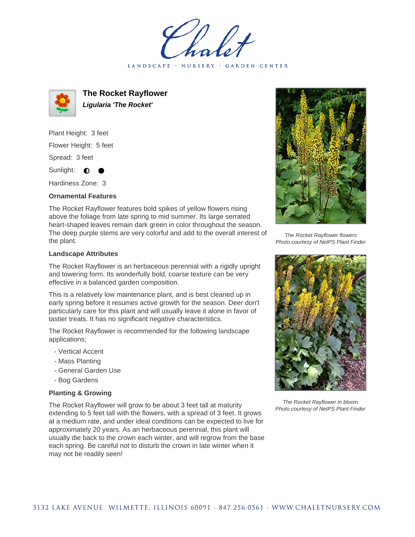holet LANDSCAPE · NURSERY · GARDEN CENTER



**The Rocket Rayflower Ligularia 'The Rocket'**

Plant Height: 3 feet Flower Height: 5 feet Spread: 3 feet

Sunlight:  $\bullet$ 

Hardiness Zone: 3

## **Ornamental Features**

The Rocket Rayflower features bold spikes of yellow flowers rising above the foliage from late spring to mid summer. Its large serrated heart-shaped leaves remain dark green in color throughout the season. The deep purple stems are very colorful and add to the overall interest of the plant.

## **Landscape Attributes**

The Rocket Rayflower is an herbaceous perennial with a rigidly upright and towering form. Its wonderfully bold, coarse texture can be very effective in a balanced garden composition.

This is a relatively low maintenance plant, and is best cleaned up in early spring before it resumes active growth for the season. Deer don't particularly care for this plant and will usually leave it alone in favor of tastier treats. It has no significant negative characteristics.

The Rocket Rayflower is recommended for the following landscape applications;

- Vertical Accent
- Mass Planting
- General Garden Use
- Bog Gardens

## **Planting & Growing**

The Rocket Rayflower will grow to be about 3 feet tall at maturity extending to 5 feet tall with the flowers, with a spread of 3 feet. It grows at a medium rate, and under ideal conditions can be expected to live for approximately 20 years. As an herbaceous perennial, this plant will usually die back to the crown each winter, and will regrow from the base each spring. Be careful not to disturb the crown in late winter when it may not be readily seen!



The Rocket Rayflower flowers Photo courtesy of NetPS Plant Finder



The Rocket Rayflower in bloom Photo courtesy of NetPS Plant Finder